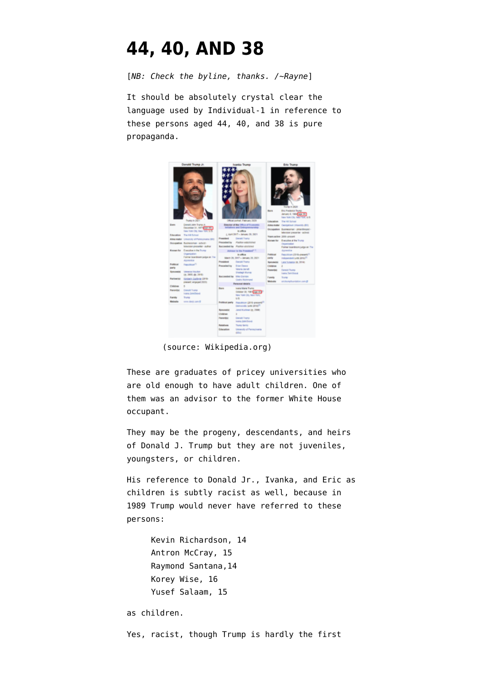## **[44, 40, AND 38](https://www.emptywheel.net/2022/01/24/44-40-and-38/)**

[*NB: Check the byline, thanks. /~Rayne*]

It should be absolutely crystal clear the language used by [Individual-1](https://www.nbcnews.com/think/opinion/michael-cohen-named-trump-individual-1-here-s-why-prosecutors-ncna947016) in reference to these persons aged 44, 40, and 38 is pure propaganda.



(source: Wikipedia.org)

These are graduates of pricey universities who are old enough to have adult children. One of them was an advisor to the former White House occupant.

They may be the progeny, descendants, and heirs of Donald J. Trump but they are not juveniles, youngsters, or children.

His reference to Donald Jr., Ivanka, and Eric as children is subtly racist as well, because in 1989 Trump would never have referred to [these](https://en.wikipedia.org/wiki/Central_Park_jogger_case) [persons:](https://en.wikipedia.org/wiki/Central_Park_jogger_case)

> Kevin Richardson, 14 Antron McCray, 15 Raymond Santana,14 Korey Wise, 16 Yusef Salaam, 15

as children.

Yes, racist, though Trump is hardly the first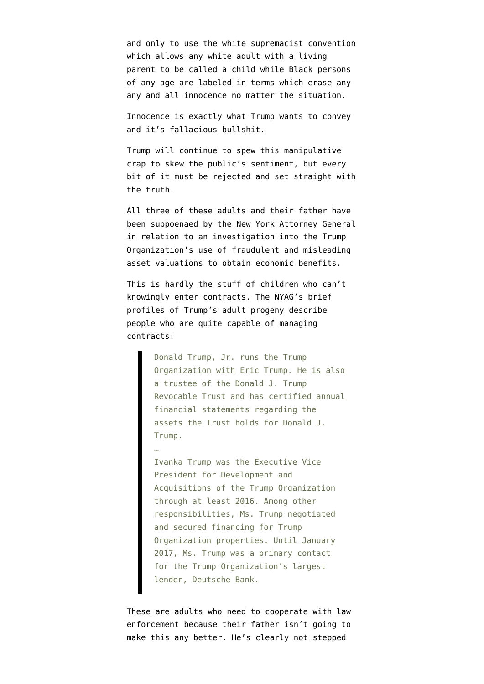and only to use the white supremacist convention which allows any white adult with a living parent to be called a child while Black persons of any age are labeled in terms which erase any any and all innocence no matter the situation.

Innocence is exactly what Trump wants to convey and it's fallacious bullshit.

Trump will continue to spew this manipulative crap to skew the public's sentiment, but every bit of it must be rejected and set straight with the truth.

All three of these adults and their father have been subpoenaed by the New York Attorney General in relation to an [investigation into the Trump](https://ag.ny.gov/press-release/2022/attorney-general-james-takes-action-force-donald-j-trump-donald-trump-jr-and) [Organization's use of fraudulent and misleading](https://ag.ny.gov/press-release/2022/attorney-general-james-takes-action-force-donald-j-trump-donald-trump-jr-and) [asset valuations to obtain economic benefits](https://ag.ny.gov/press-release/2022/attorney-general-james-takes-action-force-donald-j-trump-donald-trump-jr-and).

This is hardly the stuff of children who can't knowingly enter contracts. The NYAG's brief profiles of Trump's adult progeny describe people who are quite capable of managing contracts:

> Donald Trump, Jr. runs the Trump Organization with Eric Trump. He is also a trustee of the Donald J. Trump Revocable Trust and has certified annual financial statements regarding the assets the Trust holds for Donald J. Trump.

…

Ivanka Trump was the Executive Vice President for Development and Acquisitions of the Trump Organization through at least 2016. Among other responsibilities, Ms. Trump negotiated and secured financing for Trump Organization properties. Until January 2017, Ms. Trump was a primary contact for the Trump Organization's largest lender, Deutsche Bank.

These are adults who need to cooperate with law enforcement because their father isn't going to make this any better. He's clearly not stepped